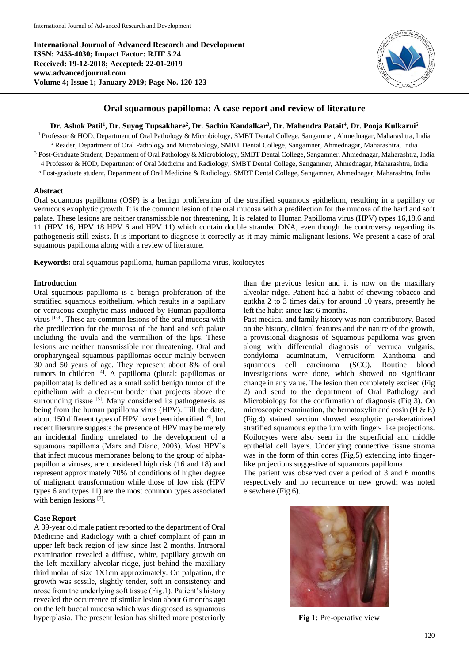**International Journal of Advanced Research and Development ISSN: 2455-4030; Impact Factor: RJIF 5.24 Received: 19-12-2018; Accepted: 22-01-2019 www.advancedjournal.com Volume 4; Issue 1; January 2019; Page No. 120-123**



# **Oral squamous papilloma: A case report and review of literature**

### **Dr. Ashok Patil<sup>1</sup> , Dr. Suyog Tupsakhare<sup>2</sup> , Dr. Sachin Kandalkar<sup>3</sup> , Dr. Mahendra Patait<sup>4</sup> , Dr. Pooja Kulkarni<sup>5</sup>**

<sup>1</sup> Professor & HOD, Department of Oral Pathology & Microbiology, SMBT Dental College, Sangamner, Ahmednagar, Maharashtra, India <sup>2</sup>Reader, Department of Oral Pathology and Microbiology, SMBT Dental College, Sangamner, Ahmednagar, Maharashtra, India <sup>3</sup> Post-Graduate Student, Department of Oral Pathology & Microbiology, SMBT Dental College, Sangamner, Ahmednagar, Maharashtra, India 4 Professor & HOD, Department of Oral Medicine and Radiology, SMBT Dental College, Sangamner, Ahmednagar, Maharashtra, India

<sup>5</sup> Post-graduate student, Department of Oral Medicine & Radiology. SMBT Dental College, Sangamner, Ahmednagar, Maharashtra, India

#### **Abstract**

Oral squamous papilloma (OSP) is a benign proliferation of the stratified squamous epithelium, resulting in a papillary or verrucous exophytic growth. It is the common lesion of the oral mucosa with a predilection for the mucosa of the hard and soft palate. These lesions are neither transmissible nor threatening. It is related to Human Papilloma virus (HPV) types 16,18,6 and 11 (HPV 16, HPV 18 HPV 6 and HPV 11) which contain double stranded DNA, even though the controversy regarding its pathogenesis still exists. It is important to diagnose it correctly as it may mimic malignant lesions. We present a case of oral squamous papilloma along with a review of literature.

**Keywords:** oral squamous papilloma, human papilloma virus, koilocytes

### **Introduction**

Oral squamous papilloma is a benign proliferation of the stratified squamous epithelium, which results in a papillary or verrucous exophytic mass induced by Human papilloma virus  $[1-3]$ . These are common lesions of the oral mucosa with the predilection for the mucosa of the hard and soft palate including the uvula and the vermillion of the lips. These lesions are neither transmissible nor threatening. Oral and oropharyngeal squamous papillomas occur mainly between 30 and 50 years of age. They represent about 8% of oral tumors in children [4] . A papilloma (plural: papillomas or papillomata) is defined as a small solid benign tumor of the epithelium with a clear-cut border that projects above the surrounding tissue  $[5]$ . Many considered its pathogenesis as being from the human papilloma virus (HPV). Till the date, about 150 different types of HPV have been identified [6], but recent literature suggests the presence of HPV may be merely an incidental finding unrelated to the development of a squamous papilloma (Marx and Diane, 2003). Most HPV's that infect mucous membranes belong to the group of alphapapilloma viruses, are considered high risk (16 and 18) and represent approximately 70% of conditions of higher degree of malignant transformation while those of low risk (HPV types 6 and types 11) are the most common types associated with benign lesions [7].

### **Case Report**

A 39-year old male patient reported to the department of Oral Medicine and Radiology with a chief complaint of pain in upper left back region of jaw since last 2 months. Intraoral examination revealed a diffuse, white, papillary growth on the left maxillary alveolar ridge, just behind the maxillary third molar of size 1X1cm approximately. On palpation, the growth was sessile, slightly tender, soft in consistency and arose from the underlying soft tissue (Fig.1). Patient's history revealed the occurrence of similar lesion about 6 months ago on the left buccal mucosa which was diagnosed as squamous hyperplasia. The present lesion has shifted more posteriorly than the previous lesion and it is now on the maxillary alveolar ridge. Patient had a habit of chewing tobacco and gutkha 2 to 3 times daily for around 10 years, presently he left the habit since last 6 months.

Past medical and family history was non-contributory. Based on the history, clinical features and the nature of the growth, a provisional diagnosis of Squamous papilloma was given along with differential diagnosis of verruca vulgaris, condyloma acuminatum, Verruciform Xanthoma and squamous cell carcinoma (SCC). Routine blood investigations were done, which showed no significant change in any value. The lesion then completely excised (Fig 2) and send to the department of Oral Pathology and Microbiology for the confirmation of diagnosis (Fig 3). On microscopic examination, the hematoxylin and eosin  $(H & E)$ (Fig.4) stained section showed exophytic parakeratinized stratified squamous epithelium with finger- like projections. Koilocytes were also seen in the superficial and middle epithelial cell layers. Underlying connective tissue stroma was in the form of thin cores (Fig.5) extending into fingerlike projections suggestive of squamous papilloma.

The patient was observed over a period of 3 and 6 months respectively and no recurrence or new growth was noted elsewhere (Fig.6).



**Fig 1:** Pre-operative view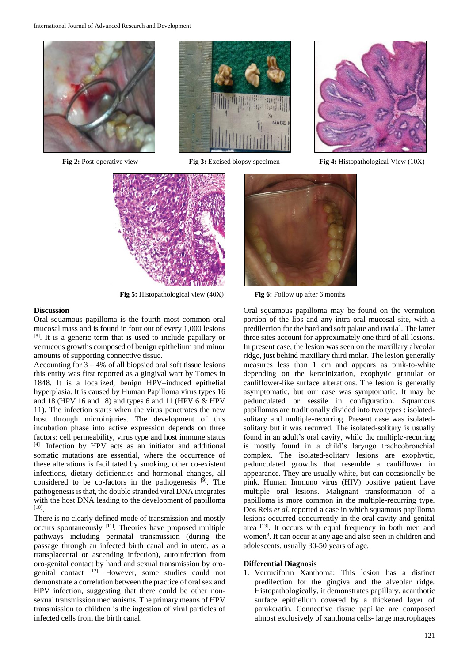





**Fig 5:** Histopathological view (40X) **Fig 6:** Follow up after 6 months

### **Discussion**

Oral squamous papilloma is the fourth most common oral mucosal mass and is found in four out of every 1,000 lesions [8] . It is a generic term that is used to include papillary or verrucous growths composed of benign epithelium and minor amounts of supporting connective tissue.

Accounting for  $3 - 4%$  of all biopsied oral soft tissue lesions this entity was first reported as a gingival wart by Tomes in 1848. It is a localized, benign HPV–induced epithelial hyperplasia. It is caused by Human Papilloma virus types 16 and 18 (HPV 16 and 18) and types 6 and 11 (HPV 6 & HPV 11). The infection starts when the virus penetrates the new host through microinjuries. The development of this incubation phase into active expression depends on three factors: cell permeability, virus type and host immune status [4] . Infection by HPV acts as an initiator and additional somatic mutations are essential, where the occurrence of these alterations is facilitated by smoking, other co-existent infections, dietary deficiencies and hormonal changes, all considered to be co-factors in the pathogenesis <sup>[9]</sup>. The pathogenesis is that, the double stranded viral DNA integrates with the host DNA leading to the development of papilloma [10] .

There is no clearly defined mode of transmission and mostly occurs spontaneously <sup>[11]</sup>. Theories have proposed multiple pathways including perinatal transmission (during the passage through an infected birth canal and in utero, as a transplacental or ascending infection), autoinfection from oro-genital contact by hand and sexual transmission by orogenital contact [12] . However, some studies could not demonstrate a correlation between the practice of oral sex and HPV infection, suggesting that there could be other nonsexual transmission mechanisms. The primary means of HPV transmission to children is the ingestion of viral particles of infected cells from the birth canal.

Oral squamous papilloma may be found on the vermilion portion of the lips and any intra oral mucosal site, with a predilection for the hard and soft palate and uvula<sup>1</sup>. The latter three sites account for approximately one third of all lesions. In present case, the lesion was seen on the maxillary alveolar ridge, just behind maxillary third molar. The lesion generally measures less than 1 cm and appears as pink-to-white depending on the keratinization, exophytic granular or cauliflower-like surface alterations. The lesion is generally asymptomatic, but our case was symptomatic. It may be pedunculated or sessile in configuration. Squamous papillomas are traditionally divided into two types : isolatedsolitary and multiple-recurring. Present case was isolatedsolitary but it was recurred. The isolated-solitary is usually found in an adult's oral cavity, while the multiple-recurring is mostly found in a child's laryngo tracheobronchial complex. The isolated-solitary lesions are exophytic, pedunculated growths that resemble a cauliflower in appearance. They are usually white, but can occasionally be pink. Human Immuno virus (HIV) positive patient have multiple oral lesions. Malignant transformation of a papilloma is more common in the multiple-recurring type. Dos Reis *et al*. reported a case in which squamous papilloma lesions occurred concurrently in the oral cavity and genital area [13]. It occurs with equal frequency in both men and women<sup>3</sup>. It can occur at any age and also seen in children and adolescents, usually 30-50 years of age.

#### **Differential Diagnosis**

1. Verruciform Xanthoma: This lesion has a distinct predilection for the gingiva and the alveolar ridge. Histopathologically, it demonstrates papillary, acanthotic surface epithelium covered by a thickened layer of parakeratin. Connective tissue papillae are composed almost exclusively of xanthoma cells- large macrophages

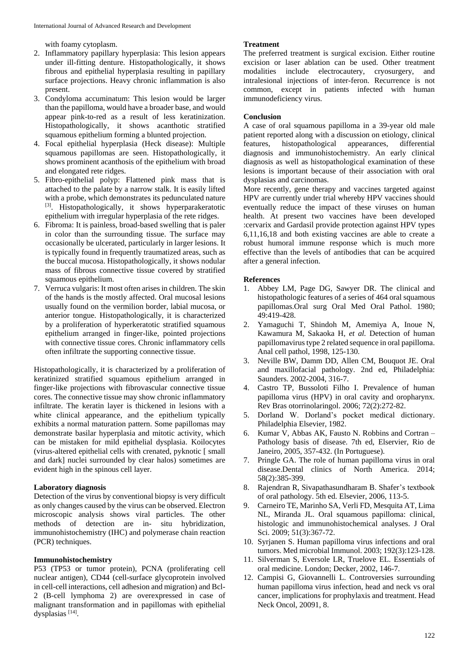with foamy cytoplasm.

- 2. Inflammatory papillary hyperplasia: This lesion appears under ill-fitting denture. Histopathologically, it shows fibrous and epithelial hyperplasia resulting in papillary surface projections. Heavy chronic inflammation is also present.
- 3. Condyloma accuminatum: This lesion would be larger than the papilloma, would have a broader base, and would appear pink-to-red as a result of less keratinization. Histopathologically, it shows acanthotic stratified squamous epithelium forming a blunted projection.
- 4. Focal epithelial hyperplasia (Heck disease): Multiple squamous papillomas are seen. Histopathologically, it shows prominent acanthosis of the epithelium with broad and elongated rete ridges.
- 5. Fibro-epithelial polyp: Flattened pink mass that is attached to the palate by a narrow stalk. It is easily lifted with a probe, which demonstrates its pedunculated nature [3]. Histopathologically, it shows hyperparakeratotic epithelium with irregular hyperplasia of the rete ridges.
- 6. Fibroma: It is painless, broad-based swelling that is paler in color than the surrounding tissue. The surface may occasionally be ulcerated, particularly in larger lesions. It is typically found in frequently traumatized areas, such as the buccal mucosa. Histopathologically, it shows nodular mass of fibrous connective tissue covered by stratified squamous epithelium.
- 7. Verruca vulgaris: It most often arises in children. The skin of the hands is the mostly affected. Oral mucosal lesions usually found on the vermilion border, labial mucosa, or anterior tongue. Histopathologically, it is characterized by a proliferation of hyperkeratotic stratified squamous epithelium arranged in finger-like, pointed projections with connective tissue cores. Chronic inflammatory cells often infiltrate the supporting connective tissue.

Histopathologically, it is characterized by a proliferation of keratinized stratified squamous epithelium arranged in finger-like projections with fibrovascular connective tissue cores. The connective tissue may show chronic inflammatory infiltrate. The keratin layer is thickened in lesions with a white clinical appearance, and the epithelium typically exhibits a normal maturation pattern. Some papillomas may demonstrate basilar hyperplasia and mitotic activity, which can be mistaken for mild epithelial dysplasia. Koilocytes (virus-altered epithelial cells with crenated, pyknotic [ small and dark] nuclei surrounded by clear halos) sometimes are evident high in the spinous cell layer.

## **Laboratory diagnosis**

Detection of the virus by conventional biopsy is very difficult as only changes caused by the virus can be observed. Electron microscopic analysis shows viral particles. The other methods of detection are in- situ hybridization, immunohistochemistry (IHC) and polymerase chain reaction (PCR) techniques.

## **Immunohistochemistry**

P53 (TP53 or tumor protein), PCNA (proliferating cell nuclear antigen), CD44 (cell-surface glycoprotein involved in cell-cell interactions, cell adhesion and migration) and Bcl-2 (B-cell lymphoma 2) are overexpressed in case of malignant transformation and in papillomas with epithelial dysplasias<sup>[14]</sup>.

## **Treatment**

The preferred treatment is surgical excision. Either routine excision or laser ablation can be used. Other treatment modalities include electrocautery, cryosurgery, and intralesional injections of inter-feron. Recurrence is not common, except in patients infected with human immunodeficiency virus.

## **Conclusion**

A case of oral squamous papilloma in a 39-year old male patient reported along with a discussion on etiology, clinical features, histopathological appearances, differential diagnosis and immunohistochemistry. An early clinical diagnosis as well as histopathological examination of these lesions is important because of their association with oral dysplasias and carcinomas.

More recently, gene therapy and vaccines targeted against HPV are currently under trial whereby HPV vaccines should eventually reduce the impact of these viruses on human health. At present two vaccines have been developed :cervarix and Gardasil provide protection against HPV types 6,11,16,18 and both existing vaccines are able to create a robust humoral immune response which is much more effective than the levels of antibodies that can be acquired after a general infection.

## **References**

- 1. Abbey LM, Page DG, Sawyer DR. The clinical and histopathologic features of a series of 464 oral squamous papillomas.Oral surg Oral Med Oral Pathol. 1980; 49:419-428.
- 2. Yamaguchi T, Shindoh M, Amemiya A, Inoue N, Kawamura M, Sakaoka H, *et al.* Detection of human papillomavirus type 2 related sequence in oral papilloma. Anal cell pathol, 1998, 125-130.
- 3. Neville BW, Damm DD, Allen CM, Bouquot JE. Oral and maxillofacial pathology. 2nd ed, Philadelphia: Saunders. 2002-2004, 316-7.
- 4. Castro TP, Bussoloti Filho I. Prevalence of human papilloma virus (HPV) in oral cavity and oropharynx. Rev Bras otorrinolaringol. 2006; 72(2):272-82.
- 5. Dorland W. Dorland's pocket medical dictionary. Philadelphia Elsevier, 1982.
- 6. Kumar V, Abbas AK, Fausto N. Robbins and Cortran Pathology basis of disease. 7th ed, Elservier, Rio de Janeiro, 2005, 357-432. (In Portuguese).
- 7. Pringle GA. The role of human papilloma virus in oral disease.Dental clinics of North America. 2014; 58(2):385-399.
- 8. Rajendran R, Sivapathasundharam B. Shafer's textbook of oral pathology. 5th ed. Elsevier, 2006, 113-5.
- 9. Carneiro TE, Marinho SA, Verli FD, Mesquita AT, Lima NL, Miranda JL. Oral squamous papilloma: clinical, histologic and immunohistochemical analyses. J Oral Sci. 2009; 51(3):367-72.
- 10. Syrjanen S. Human papilloma virus infections and oral tumors. Med microbial Immunol. 2003; 192(3):123-128.
- 11. Silverman S, Eversole LR, Truelove EL. Essentials of oral medicine. London; Decker, 2002, 146-7.
- 12. Campisi G, Giovannelli L. Controversies surrounding human papilloma virus infection, head and neck vs oral cancer, implications for prophylaxis and treatment. Head Neck Oncol, 20091, 8.